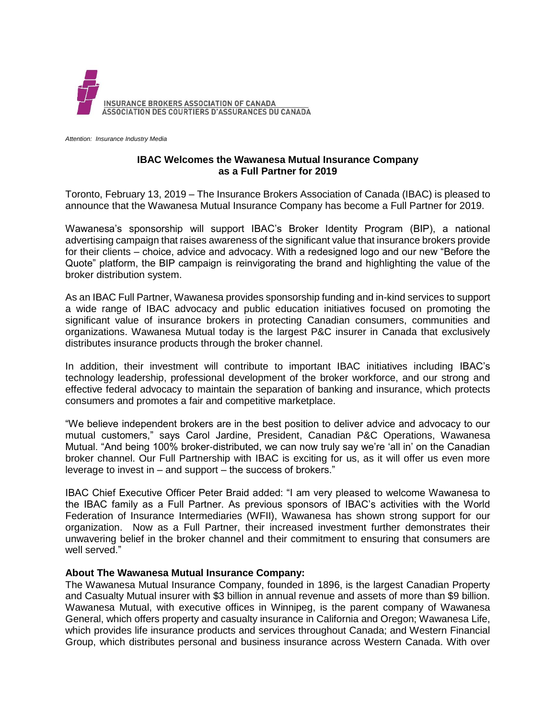

*Attention: Insurance Industry Media*

## **IBAC Welcomes the Wawanesa Mutual Insurance Company as a Full Partner for 2019**

Toronto, February 13, 2019 – The Insurance Brokers Association of Canada (IBAC) is pleased to announce that the Wawanesa Mutual Insurance Company has become a Full Partner for 2019.

Wawanesa's sponsorship will support IBAC's Broker Identity Program (BIP), a national advertising campaign that raises awareness of the significant value that insurance brokers provide for their clients – choice, advice and advocacy. With a redesigned logo and our new "Before the Quote" platform, the BIP campaign is reinvigorating the brand and highlighting the value of the broker distribution system.

As an IBAC Full Partner, Wawanesa provides sponsorship funding and in-kind services to support a wide range of IBAC advocacy and public education initiatives focused on promoting the significant value of insurance brokers in protecting Canadian consumers, communities and organizations. Wawanesa Mutual today is the largest P&C insurer in Canada that exclusively distributes insurance products through the broker channel.

In addition, their investment will contribute to important IBAC initiatives including IBAC's technology leadership, professional development of the broker workforce, and our strong and effective federal advocacy to maintain the separation of banking and insurance, which protects consumers and promotes a fair and competitive marketplace.

"We believe independent brokers are in the best position to deliver advice and advocacy to our mutual customers," says Carol Jardine, President, Canadian P&C Operations, Wawanesa Mutual. "And being 100% broker-distributed, we can now truly say we're 'all in' on the Canadian broker channel. Our Full Partnership with IBAC is exciting for us, as it will offer us even more leverage to invest in – and support – the success of brokers."

IBAC Chief Executive Officer Peter Braid added: "I am very pleased to welcome Wawanesa to the IBAC family as a Full Partner. As previous sponsors of IBAC's activities with the World Federation of Insurance Intermediaries (WFII), Wawanesa has shown strong support for our organization. Now as a Full Partner, their increased investment further demonstrates their unwavering belief in the broker channel and their commitment to ensuring that consumers are well served."

## **About The Wawanesa Mutual Insurance Company:**

The Wawanesa Mutual Insurance Company, founded in 1896, is the largest Canadian Property and Casualty Mutual insurer with \$3 billion in annual revenue and assets of more than \$9 billion. Wawanesa Mutual, with executive offices in Winnipeg, is the parent company of Wawanesa General, which offers property and casualty insurance in California and Oregon; Wawanesa Life, which provides life insurance products and services throughout Canada; and Western Financial Group, which distributes personal and business insurance across Western Canada. With over